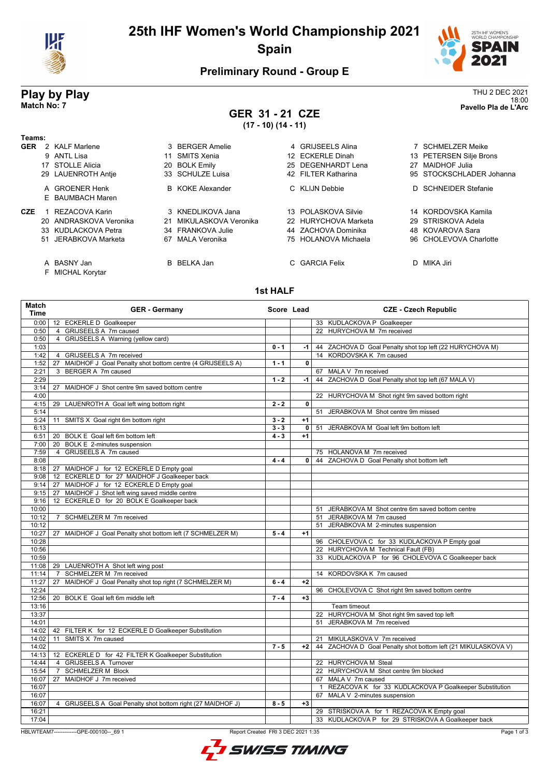

## **25th IHF Women's World Championship 2021 Spain**



18:00 **Match No: 7 Pavello Pla de L'Arc**

### **Preliminary Round - Group E**

# **Play by Play**<br>Match No: 7<br>Pavello Pla de L'Arc

**GER 31 - 21 CZE (17 - 10) (14 - 11)**

| Teams:     |                                 |    |                         |                      |    |                          |
|------------|---------------------------------|----|-------------------------|----------------------|----|--------------------------|
| <b>GER</b> | 2 KALF Marlene                  |    | 3 BERGER Amelie         | 4 GRIJSEELS Alina    |    | SCHMELZER Meike          |
|            | 9 ANTL Lisa                     |    | SMITS Xenia             | 12 ECKERLE Dinah     |    | 13 PETERSEN Silje Brons  |
|            | 17 STOLLE Alicia                |    | 20 BOLK Emily           | 25 DEGENHARDT Lena   | 27 | <b>MAIDHOF Julia</b>     |
|            | 29 LAUENROTH Antie              |    | 33 SCHULZE Luisa        | 42 FILTER Katharina  |    | 95 STOCKSCHLADER Johanna |
|            | A GROENER Henk                  |    | <b>B</b> KOKE Alexander | C KLIJN Debbie       |    | D SCHNEIDER Stefanie     |
|            | E BAUMBACH Maren                |    |                         |                      |    |                          |
| CZE        | REZACOVA Karin                  |    | 3 KNEDLIKOVA Jana       | 13 POLASKOVA Silvie  |    | 14 KORDOVSKA Kamila      |
|            | 20 ANDRASKOVA Veronika          |    | MIKULASKOVA Veronika    | 22 HURYCHOVA Marketa |    | 29 STRISKOVA Adela       |
|            | 33 KUDLACKOVA Petra             |    | 34 FRANKOVA Julie       | 44 ZACHOVA Dominika  |    | 48 KOVAROVA Sara         |
|            | 51 JERABKOVA Marketa            | 67 | MALA Veronika           | 75 HOLANOVA Michaela |    | 96 CHOLEVOVA Charlotte   |
|            | A BASNY Jan<br>F MICHAL Korytar |    | B BELKA Jan             | C GARCIA Felix       | D. | MIKA Jiri                |

**1st HALF**

| Match<br><b>Time</b> | <b>GER</b> - Germany                                         | Score Lead |              | <b>CZE - Czech Republic</b>                                                                      |
|----------------------|--------------------------------------------------------------|------------|--------------|--------------------------------------------------------------------------------------------------|
| 0:00                 | 12 ECKERLE D Goalkeeper                                      |            |              | 33 KUDLACKOVA P Goalkeeper                                                                       |
| 0:50                 | 4 GRIJSEELS A 7m caused                                      |            |              | 22 HURYCHOVA M 7m received                                                                       |
| 0:50                 | 4 GRIJSEELS A Warning (yellow card)                          |            |              |                                                                                                  |
| 1:03                 |                                                              | $0 - 1$    | $-1$         | 44 ZACHOVA D Goal Penalty shot top left (22 HURYCHOVA M)                                         |
| 1:42                 | 4 GRIJSEELS A 7m received                                    |            |              | 14 KORDOVSKA K 7m caused                                                                         |
| 1:52                 | 27 MAIDHOF J Goal Penalty shot bottom centre (4 GRIJSEELS A) | $1 - 1$    | $\mathbf{0}$ |                                                                                                  |
| 2:21                 | BERGER A 7m caused<br>3                                      |            |              | 67 MALA V 7m received                                                                            |
| 2:29                 |                                                              | $1 - 2$    | $-1$         | 44 ZACHOVA D Goal Penalty shot top left (67 MALA V)                                              |
| 3:14                 | 27 MAIDHOF J Shot centre 9m saved bottom centre              |            |              |                                                                                                  |
| 4:00                 |                                                              |            |              | 22 HURYCHOVA M Shot right 9m saved bottom right                                                  |
| 4:15                 | 29 LAUENROTH A Goal left wing bottom right                   | $2 - 2$    | 0            |                                                                                                  |
| 5:14                 |                                                              |            |              | 51<br>JERABKOVA M Shot centre 9m missed                                                          |
| 5:24                 | 11 SMITS X Goal right 6m bottom right                        | $3 - 2$    | $+1$         |                                                                                                  |
| 6:13                 |                                                              | $3 - 3$    | $\mathbf 0$  | JERABKOVA M Goal left 9m bottom left<br>51                                                       |
| 6:51                 | 20 BOLK E Goal left 6m bottom left                           | $4 - 3$    | $+1$         |                                                                                                  |
| 7:00                 | 20 BOLK E 2-minutes suspension                               |            |              |                                                                                                  |
| 7:59                 | 4 GRIJSEELS A 7m caused                                      |            |              | 75 HOLANOVA M 7m received                                                                        |
| 8:08                 |                                                              | $4 - 4$    | 0            | 44 ZACHOVA D Goal Penalty shot bottom left                                                       |
| 8:18                 | 27 MAIDHOF J for 12 ECKERLE D Empty goal                     |            |              |                                                                                                  |
| 9:08                 | 12 ECKERLE D for 27 MAIDHOF J Goalkeeper back                |            |              |                                                                                                  |
| 9:14                 | 27 MAIDHOF J for 12 ECKERLE D Empty goal                     |            |              |                                                                                                  |
| 9:15                 | 27 MAIDHOF J Shot left wing saved middle centre              |            |              |                                                                                                  |
| 9:16                 | 12 ECKERLE D for 20 BOLK E Goalkeeper back                   |            |              |                                                                                                  |
| 10:00                |                                                              |            |              | 51 JERABKOVA M Shot centre 6m saved bottom centre                                                |
| 10:12                | 7 SCHMELZER M 7m received                                    |            |              | 51 JERABKOVA M 7m caused                                                                         |
| 10:12                |                                                              |            |              | JERABKOVA M 2-minutes suspension<br>51                                                           |
| 10:27                | 27 MAIDHOF J Goal Penalty shot bottom left (7 SCHMELZER M)   | $5 - 4$    | $+1$         |                                                                                                  |
| 10:28                |                                                              |            |              | 96 CHOLEVOVA C for 33 KUDLACKOVA P Empty goal                                                    |
| 10:56                |                                                              |            |              | 22 HURYCHOVA M Technical Fault (FB)                                                              |
| 10:59                |                                                              |            |              | KUDLACKOVA P for 96 CHOLEVOVA C Goalkeeper back<br>33                                            |
| 11:08                | 29 LAUENROTH A Shot left wing post                           |            |              |                                                                                                  |
| 11:14                | 7 SCHMELZER M 7m received                                    |            |              | 14 KORDOVSKA K 7m caused                                                                         |
| 11:27                | MAIDHOF J Goal Penalty shot top right (7 SCHMELZER M)<br>27  | $6 - 4$    | $+2$         |                                                                                                  |
| 12:24                |                                                              |            |              | 96 CHOLEVOVA C Shot right 9m saved bottom centre                                                 |
| 12:56                | 20 BOLK E Goal left 6m middle left                           | $7 - 4$    | $+3$         |                                                                                                  |
| 13:16                |                                                              |            |              | Team timeout                                                                                     |
| 13:37                |                                                              |            |              | 22 HURYCHOVA M Shot right 9m saved top left<br>JERABKOVA M 7m received                           |
| 14:01                |                                                              |            |              | 51                                                                                               |
| 14:02                | 42 FILTER K for 12 ECKERLE D Goalkeeper Substitution         |            |              |                                                                                                  |
| 14:02                | 11 SMITS X 7m caused                                         |            |              | 21 MIKULASKOVA V 7m received                                                                     |
| 14:02                |                                                              | $7 - 5$    | $+2$         | 44 ZACHOVA D Goal Penalty shot bottom left (21 MIKULASKOVA V)                                    |
| 14:13                | 12 ECKERLE D for 42 FILTER K Goalkeeper Substitution         |            |              |                                                                                                  |
| 14:44                | 4 GRIJSEELS A Turnover                                       |            |              | 22 HURYCHOVA M Steal                                                                             |
| 15:54                | 7 SCHMELZER M Block<br>27 MAIDHOF J 7m received              |            |              | 22 HURYCHOVA M Shot centre 9m blocked                                                            |
| 16:07                |                                                              |            |              | 67 MALA V 7m caused                                                                              |
| 16:07<br>16:07       |                                                              |            |              | REZACOVA K for 33 KUDLACKOVA P Goalkeeper Substitution<br>$\mathbf{1}$<br>67                     |
| 16:07                |                                                              | $8 - 5$    | $+3$         | MALA V 2-minutes suspension                                                                      |
| 16:21                | 4 GRIJSEELS A Goal Penalty shot bottom right (27 MAIDHOF J)  |            |              |                                                                                                  |
| 17:04                |                                                              |            |              | 29 STRISKOVA A for 1 REZACOVA K Empty goal<br>33 KUDLACKOVA P for 29 STRISKOVA A Goalkeeper back |
|                      |                                                              |            |              |                                                                                                  |

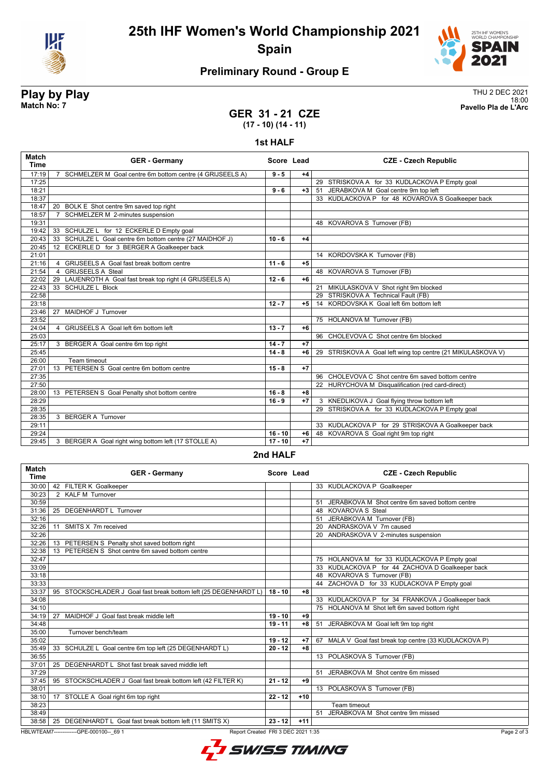

### **25th IHF Women's World Championship 2021 Spain**



### **Preliminary Round - Group E**

**Play by Play**<br>Match No: 7<br>Pavello Pla de L'Arc 18:00 **Match No: 7 Pavello Pla de L'Arc**

### **GER 31 - 21 CZE (17 - 10) (14 - 11)**

#### **1st HALF**

| Match<br><b>Time</b> | <b>GER - Germany</b>                                                       | Score Lead |      | <b>CZE - Czech Republic</b>                                 |
|----------------------|----------------------------------------------------------------------------|------------|------|-------------------------------------------------------------|
| 17:19                | SCHMELZER M Goal centre 6m bottom centre (4 GRIJSEELS A)<br>$\overline{7}$ | $9 - 5$    | $+4$ |                                                             |
| 17:25                |                                                                            |            |      | 29 STRISKOVA A for 33 KUDLACKOVA P Empty goal               |
| 18:21                |                                                                            | $9 - 6$    | $+3$ | 51 JERABKOVA M Goal centre 9m top left                      |
| 18:37                |                                                                            |            |      | 33 KUDLACKOVA P for 48 KOVAROVA S Goalkeeper back           |
| 18:47                | 20 BOLK E Shot centre 9m saved top right                                   |            |      |                                                             |
| 18:57                | SCHMELZER M 2-minutes suspension<br>$\overline{7}$                         |            |      |                                                             |
| 19:31                |                                                                            |            |      | 48 KOVAROVA S Turnover (FB)                                 |
| 19:42                | 33 SCHULZE L for 12 ECKERLE D Empty goal                                   |            |      |                                                             |
| 20:43                | 33 SCHULZE L Goal centre 6m bottom centre (27 MAIDHOF J)                   | $10 - 6$   | $+4$ |                                                             |
| 20:45                | 12 ECKERLE D for 3 BERGER A Goalkeeper back                                |            |      |                                                             |
| 21:01                |                                                                            |            |      | 14 KORDOVSKA K Turnover (FB)                                |
| 21:16                | 4 GRIJSEELS A Goal fast break bottom centre                                | $11 - 6$   | $+5$ |                                                             |
| 21:54                | 4 GRIJSEELS A Steal                                                        |            |      | 48 KOVAROVA S Turnover (FB)                                 |
| 22:02                | 29 LAUENROTH A Goal fast break top right (4 GRIJSEELS A)                   | $12 - 6$   | $+6$ |                                                             |
| 22:43                | 33 SCHULZE L Block                                                         |            |      | 21 MIKULASKOVA V Shot right 9m blocked                      |
| 22:58                |                                                                            |            |      | 29 STRISKOVA A Technical Fault (FB)                         |
| 23:18                |                                                                            | $12 - 7$   | $+5$ | 14 KORDOVSKA K Goal left 6m bottom left                     |
| 23:46                | MAIDHOF J Turnover<br>27                                                   |            |      |                                                             |
| 23:52                |                                                                            |            |      | 75 HOLANOVA M Turnover (FB)                                 |
| 24:04                | GRIJSEELS A Goal left 6m bottom left<br>$\overline{4}$                     | $13 - 7$   | $+6$ |                                                             |
| 25:03                |                                                                            |            |      | 96 CHOLEVOVA C Shot centre 6m blocked                       |
| 25:17                | 3 BERGER A Goal centre 6m top right                                        | $14 - 7$   | $+7$ |                                                             |
| 25:45                |                                                                            | $14 - 8$   | $+6$ | 29 STRISKOVA A Goal left wing top centre (21 MIKULASKOVA V) |
| 26:00                | Team timeout                                                               |            |      |                                                             |
| 27:01                | 13 PETERSEN S Goal centre 6m bottom centre                                 | $15 - 8$   | $+7$ |                                                             |
| 27:35                |                                                                            |            |      | 96 CHOLEVOVA C Shot centre 6m saved bottom centre           |
| 27:50                |                                                                            |            |      | 22 HURYCHOVA M Disqualification (red card-direct)           |
| 28:00                | 13 PETERSEN S Goal Penalty shot bottom centre                              | $16 - 8$   | $+8$ |                                                             |
| 28:29                |                                                                            | $16 - 9$   | $+7$ | 3 KNEDLIKOVA J Goal flying throw bottom left                |
| 28:35                |                                                                            |            |      | 29 STRISKOVA A for 33 KUDLACKOVA P Empty goal               |
| 28:35                | 3 BERGER A Turnover                                                        |            |      |                                                             |
| 29:11                |                                                                            |            |      | 33 KUDLACKOVA P for 29 STRISKOVA A Goalkeeper back          |
| 29:24                |                                                                            | $16 - 10$  | $+6$ | 48 KOVAROVA S Goal right 9m top right                       |
| 29:45                | 3 BERGER A Goal right wing bottom left (17 STOLLE A)                       | $17 - 10$  | $+7$ |                                                             |

#### **2nd HALF**

| <b>Match</b><br><b>Time</b>                                                                   | <b>GER - Germany</b>                                             | Score Lead |       | <b>CZE - Czech Republic</b>                            |
|-----------------------------------------------------------------------------------------------|------------------------------------------------------------------|------------|-------|--------------------------------------------------------|
| 30:00                                                                                         | 42 FILTER K Goalkeeper                                           |            |       | 33 KUDLACKOVA P Goalkeeper                             |
| 30:23                                                                                         | 2 KALF M Turnover                                                |            |       |                                                        |
| 30:59                                                                                         |                                                                  |            |       | JERABKOVA M Shot centre 6m saved bottom centre         |
| 31:36                                                                                         | DEGENHARDT L Turnover<br>25                                      |            |       | 48 KOVAROVA S Steal                                    |
| 32:16                                                                                         |                                                                  |            |       | JERABKOVA M Turnover (FB)<br>51                        |
| 32:26                                                                                         | SMITS X 7m received<br>11                                        |            |       | 20 ANDRASKOVA V 7m caused                              |
| 32:26                                                                                         |                                                                  |            |       | 20 ANDRASKOVA V 2-minutes suspension                   |
| 32:26                                                                                         | 13 PETERSEN S Penalty shot saved bottom right                    |            |       |                                                        |
| 32:38                                                                                         | 13 PETERSEN S Shot centre 6m saved bottom centre                 |            |       |                                                        |
| 32:47                                                                                         |                                                                  |            |       | 75 HOLANOVA M for 33 KUDLACKOVA P Empty goal           |
| 33:09                                                                                         |                                                                  |            |       | 33 KUDLACKOVA P for 44 ZACHOVA D Goalkeeper back       |
| 33:18                                                                                         |                                                                  |            |       | 48 KOVAROVA S Turnover (FB)                            |
| 33:33                                                                                         |                                                                  |            |       | 44 ZACHOVA D for 33 KUDLACKOVA P Empty goal            |
| 33:37                                                                                         | 95 STOCKSCHLADER J Goal fast break bottom left (25 DEGENHARDT L) | $18 - 10$  | $+8$  |                                                        |
| 34:08                                                                                         |                                                                  |            |       | 33 KUDLACKOVA P for 34 FRANKOVA J Goalkeeper back      |
| 34:10                                                                                         |                                                                  |            |       | 75 HOLANOVA M Shot left 6m saved bottom right          |
| 34:19                                                                                         | MAIDHOF J Goal fast break middle left<br>27                      | $19 - 10$  | +9    |                                                        |
| 34:48                                                                                         |                                                                  | $19 - 11$  | $+8$  | JERABKOVA M Goal left 9m top right<br>51               |
| 35:00                                                                                         | Turnover bench/team                                              |            |       |                                                        |
| 35:02                                                                                         |                                                                  | $19 - 12$  | $+7$  | 67 MALA V Goal fast break top centre (33 KUDLACKOVA P) |
| 35:49                                                                                         | 33 SCHULZE L Goal centre 6m top left (25 DEGENHARDT L)           | $20 - 12$  | $+8$  |                                                        |
| 36:55                                                                                         |                                                                  |            |       | 13 POLASKOVA S Turnover (FB)                           |
| 37:01                                                                                         | 25 DEGENHARDT L Shot fast break saved middle left                |            |       |                                                        |
| 37:29                                                                                         |                                                                  |            |       | JERABKOVA M Shot centre 6m missed<br>51                |
| 37:45                                                                                         | 95 STOCKSCHLADER J Goal fast break bottom left (42 FILTER K)     | $21 - 12$  | $+9$  |                                                        |
| 38:01                                                                                         |                                                                  |            |       | 13 POLASKOVA S Turnover (FB)                           |
| 38:10                                                                                         | 17 STOLLE A Goal right 6m top right                              | $22 - 12$  | $+10$ |                                                        |
| 38:23                                                                                         |                                                                  |            |       | Team timeout                                           |
| 38:49                                                                                         |                                                                  |            |       | JERABKOVA M Shot centre 9m missed<br>51                |
| 38:58                                                                                         | 25 DEGENHARDT L Goal fast break bottom left (11 SMITS X)         | $23 - 12$  | $+11$ |                                                        |
| HBLWTEAM7--------------GPE-000100-- 69 1<br>Report Created FRI 3 DEC 2021 1:35<br>Page 2 of 3 |                                                                  |            |       |                                                        |